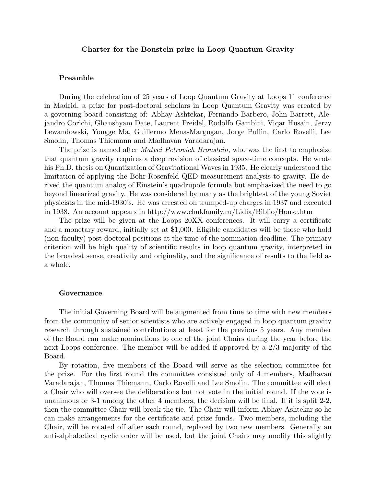## Charter for the Bonstein prize in Loop Quantum Gravity

## Preamble

During the celebration of 25 years of Loop Quantum Gravity at Loops 11 conference in Madrid, a prize for post-doctoral scholars in Loop Quantum Gravity was created by a governing board consisting of: Abhay Ashtekar, Fernando Barbero, John Barrett, Alejandro Corichi, Ghanshyam Date, Laurent Freidel, Rodolfo Gambini, Viqar Husain, Jerzy Lewandowski, Yongge Ma, Guillermo Mena-Margugan, Jorge Pullin, Carlo Rovelli, Lee Smolin, Thomas Thiemann and Madhavan Varadarajan.

The prize is named after *Matvei Petrovich Bronstein*, who was the first to emphasize that quantum gravity requires a deep revision of classical space-time concepts. He wrote his Ph.D. thesis on Quantization of Gravitational Waves in 1935. He clearly understood the limitation of applying the Bohr-Rosenfeld QED measurement analysis to gravity. He derived the quantum analog of Einstein's quadrupole formula but emphasized the need to go beyond linearized gravity. He was considered by many as the brightest of the young Soviet physicists in the mid-1930's. He was arrested on trumped-up charges in 1937 and executed in 1938. An account appears in http://www.chukfamily.ru/Lidia/Biblio/House.htm

The prize will be given at the Loops 20XX conferences. It will carry a certificate and a monetary reward, initially set at \$1,000. Eligible candidates will be those who hold (non-faculty) post-doctoral positions at the time of the nomination deadline. The primary criterion will be high quality of scientific results in loop quantum gravity, interpreted in the broadest sense, creativity and originality, and the significance of results to the field as a whole.

## Governance

The initial Governing Board will be augmented from time to time with new members from the community of senior scientists who are actively engaged in loop quantum gravity research through sustained contributions at least for the previous 5 years. Any member of the Board can make nominations to one of the joint Chairs during the year before the next Loops conference. The member will be added if approved by a 2/3 majority of the Board.

By rotation, five members of the Board will serve as the selection committee for the prize. For the first round the committee consisted only of 4 members, Madhavan Varadarajan, Thomas Thiemann, Carlo Rovelli and Lee Smolin. The committee will elect a Chair who will oversee the deliberations but not vote in the initial round. If the vote is unanimous or 3-1 among the other 4 members, the decision will be final. If it is split 2-2, then the committee Chair will break the tie. The Chair will inform Abhay Ashtekar so he can make arrangements for the certificate and prize funds. Two members, including the Chair, will be rotated off after each round, replaced by two new members. Generally an anti-alphabetical cyclic order will be used, but the joint Chairs may modify this slightly